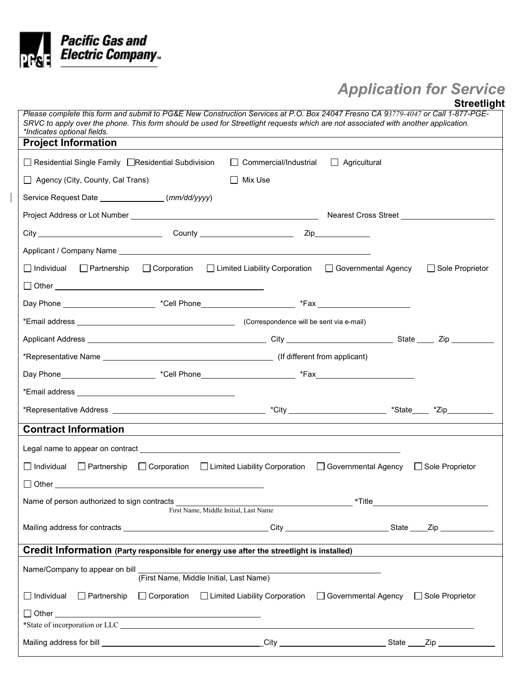

 $\begin{array}{c} \hline \end{array}$ 

## *Application for Service*

|                                                                                                                                                                                                                                                                                                       |                    |                                                                                       |                       | <b>Streetlight</b>                |
|-------------------------------------------------------------------------------------------------------------------------------------------------------------------------------------------------------------------------------------------------------------------------------------------------------|--------------------|---------------------------------------------------------------------------------------|-----------------------|-----------------------------------|
| Please complete this form and submit to PG&E New Construction Services at P.O. Box 24047 Fresno CA 93779-4047 or Call 1-877-PGE-<br>SRVC to apply over the phone. This form should be used for Streetlight requests which are not associated with another application.<br>*Indicates optional fields. |                    |                                                                                       |                       |                                   |
| <b>Project Information</b>                                                                                                                                                                                                                                                                            |                    |                                                                                       |                       |                                   |
| $\Box$ Residential Single Family $\Box$ Residential Subdivision                                                                                                                                                                                                                                       |                    | $\Box$ Commercial/Industrial                                                          | $\Box$ Agricultural   |                                   |
| Agency (City, County, Cal Trans)                                                                                                                                                                                                                                                                      |                    | $\Box$ Mix Use                                                                        |                       |                                   |
| Service Request Date ___________________(mm/dd/yyyy)                                                                                                                                                                                                                                                  |                    |                                                                                       |                       |                                   |
|                                                                                                                                                                                                                                                                                                       |                    |                                                                                       |                       |                                   |
|                                                                                                                                                                                                                                                                                                       |                    |                                                                                       |                       |                                   |
|                                                                                                                                                                                                                                                                                                       |                    |                                                                                       |                       |                                   |
| $\Box$ Individual $\Box$ Partnership                                                                                                                                                                                                                                                                  | $\Box$ Corporation | □ Limited Liability Corporation                                                       | □ Governmental Agency | □ Sole Proprietor                 |
|                                                                                                                                                                                                                                                                                                       |                    |                                                                                       |                       |                                   |
|                                                                                                                                                                                                                                                                                                       |                    |                                                                                       |                       |                                   |
|                                                                                                                                                                                                                                                                                                       |                    |                                                                                       |                       |                                   |
|                                                                                                                                                                                                                                                                                                       |                    |                                                                                       |                       |                                   |
|                                                                                                                                                                                                                                                                                                       |                    |                                                                                       |                       |                                   |
|                                                                                                                                                                                                                                                                                                       |                    |                                                                                       |                       |                                   |
|                                                                                                                                                                                                                                                                                                       |                    |                                                                                       |                       |                                   |
|                                                                                                                                                                                                                                                                                                       |                    |                                                                                       |                       |                                   |
| <b>Contract Information</b>                                                                                                                                                                                                                                                                           |                    |                                                                                       |                       |                                   |
|                                                                                                                                                                                                                                                                                                       |                    |                                                                                       |                       |                                   |
| Individual<br>$\Box$ Partnership                                                                                                                                                                                                                                                                      | $\Box$ Corporation | □ Limited Liability Corporation □ Governmental Agency □ Sole Proprietor               |                       |                                   |
| $\Box$ Other                                                                                                                                                                                                                                                                                          |                    |                                                                                       |                       |                                   |
| Name of person authorized to sign contracts                                                                                                                                                                                                                                                           |                    |                                                                                       |                       | *Title __________________________ |
|                                                                                                                                                                                                                                                                                                       |                    | First Name, Middle Initial, Last Name                                                 |                       |                                   |
|                                                                                                                                                                                                                                                                                                       |                    |                                                                                       |                       |                                   |
| Credit Information (Party responsible for energy use after the streetlight is installed)                                                                                                                                                                                                              |                    |                                                                                       |                       |                                   |
| Name/Company to appear on bill                                                                                                                                                                                                                                                                        |                    | (First Name, Middle Initial, Last Name)                                               |                       |                                   |
| $\Box$ Individual $\Box$ Partnership                                                                                                                                                                                                                                                                  |                    | □ Corporation □ Limited Liability Corporation □ Governmental Agency □ Sole Proprietor |                       |                                   |
|                                                                                                                                                                                                                                                                                                       |                    |                                                                                       |                       |                                   |
|                                                                                                                                                                                                                                                                                                       |                    |                                                                                       |                       |                                   |
|                                                                                                                                                                                                                                                                                                       |                    |                                                                                       |                       |                                   |